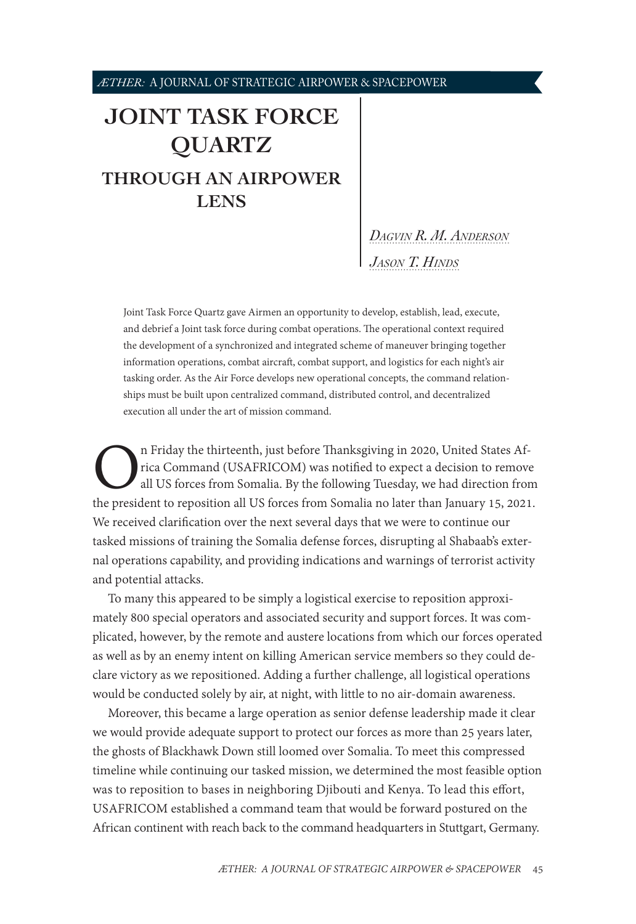# <span id="page-0-1"></span>**[JOINT TASK FORCE](#page-0-0)  [QUARTZ](#page-0-0) [THROUGH AN AIRPOWER](#page-0-0)  [LENS](#page-0-0)**

## *[Dagvin R. M. Anderson](#page-5-0) [Jason T. Hinds](#page-5-0)*

Joint Task Force Quartz gave Airmen an opportunity to develop, establish, lead, execute, and debrief a Joint task force during combat operations. The operational context required the development of a synchronized and integrated scheme of maneuver bringing together information operations, combat aircraft, combat support, and logistics for each night's air tasking order. As the Air Force develops new operational concepts, the command relationships must be built upon centralized command, distributed control, and decentralized execution all under the art of mission command.

In Friday the thirteenth, just before Thanksgiving in 2020, United States Africa Command (USAFRICOM) was notified to expect a decision to remove all US forces from Somalia. By the following Tuesday, we had direction from t rica Command (USAFRICOM) was notified to expect a decision to remove all US forces from Somalia. By the following Tuesday, we had direction from We received clarification over the next several days that we were to continue our tasked missions of training the Somalia defense forces, disrupting al Shabaab's external operations capability, and providing indications and warnings of terrorist activity and potential attacks.

To many this appeared to be simply a logistical exercise to reposition approximately 800 special operators and associated security and support forces. It was complicated, however, by the remote and austere locations from which our forces operated as well as by an enemy intent on killing American service members so they could declare victory as we repositioned. Adding a further challenge, all logistical operations would be conducted solely by air, at night, with little to no air-domain awareness.

<span id="page-0-0"></span>Moreover, this became a large operation as senior defense leadership made it clear we would provide adequate support to protect our forces as more than 25 years later, the ghosts of Blackhawk Down still loomed over Somalia. To meet this compressed timeline while continuing our tasked mission, we determined the most feasible option was to reposition to bases in neighboring Djibouti and Kenya. To lead this effort, USAFRICOM established a command team that would be forward postured on the African continent with reach back to the command headquarters in Stuttgart, Germany.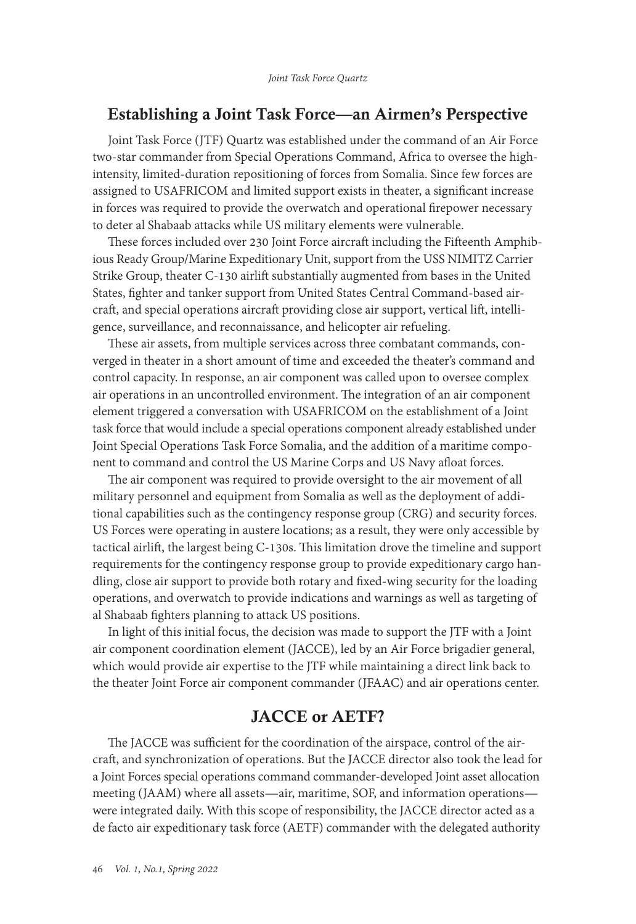## Establishing a Joint Task Force—an Airmen's Perspective

Joint Task Force (JTF) Quartz was established under the command of an Air Force two-star commander from Special Operations Command, Africa to oversee the highintensity, limited-duration repositioning of forces from Somalia. Since few forces are assigned to USAFRICOM and limited support exists in theater, a significant increase in forces was required to provide the overwatch and operational firepower necessary to deter al Shabaab attacks while US military elements were vulnerable.

These forces included over 230 Joint Force aircraft including the Fifteenth Amphibious Ready Group/Marine Expeditionary Unit, support from the USS NIMITZ Carrier Strike Group, theater C-130 airlift substantially augmented from bases in the United States, fighter and tanker support from United States Central Command-based aircraft, and special operations aircraft providing close air support, vertical lift, intelligence, surveillance, and reconnaissance, and helicopter air refueling.

These air assets, from multiple services across three combatant commands, converged in theater in a short amount of time and exceeded the theater's command and control capacity. In response, an air component was called upon to oversee complex air operations in an uncontrolled environment. The integration of an air component element triggered a conversation with USAFRICOM on the establishment of a Joint task force that would include a special operations component already established under Joint Special Operations Task Force Somalia, and the addition of a maritime component to command and control the US Marine Corps and US Navy afloat forces.

The air component was required to provide oversight to the air movement of all military personnel and equipment from Somalia as well as the deployment of additional capabilities such as the contingency response group (CRG) and security forces. US Forces were operating in austere locations; as a result, they were only accessible by tactical airlift, the largest being C-130s. This limitation drove the timeline and support requirements for the contingency response group to provide expeditionary cargo handling, close air support to provide both rotary and fixed-wing security for the loading operations, and overwatch to provide indications and warnings as well as targeting of al Shabaab fighters planning to attack US positions.

In light of this initial focus, the decision was made to support the JTF with a Joint air component coordination element (JACCE), led by an Air Force brigadier general, which would provide air expertise to the JTF while maintaining a direct link back to the theater Joint Force air component commander (JFAAC) and air operations center.

## JACCE or AETF?

The JACCE was sufficient for the coordination of the airspace, control of the aircraft, and synchronization of operations. But the JACCE director also took the lead for a Joint Forces special operations command commander-developed Joint asset allocation meeting (JAAM) where all assets—air, maritime, SOF, and information operations were integrated daily. With this scope of responsibility, the JACCE director acted as a de facto air expeditionary task force (AETF) commander with the delegated authority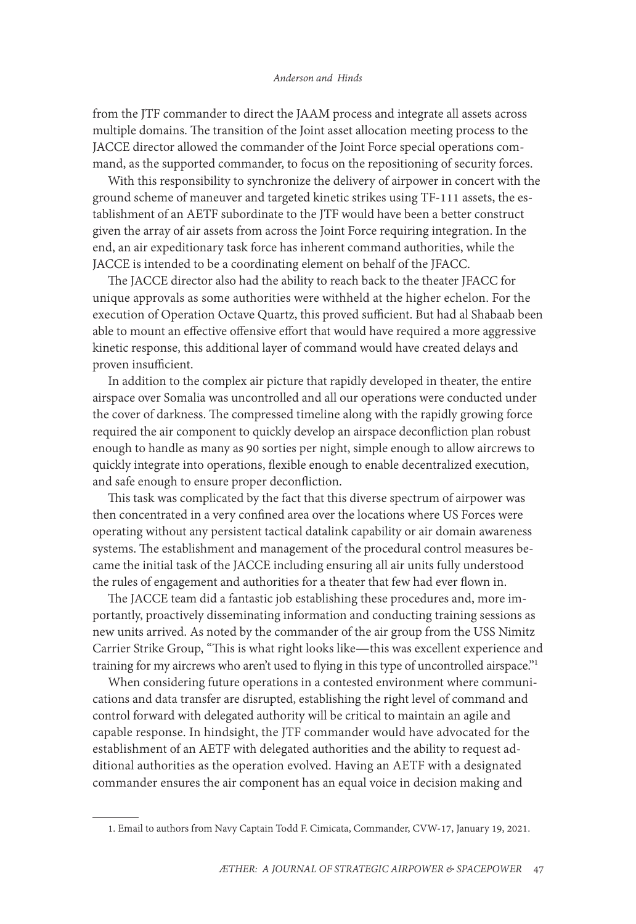from the JTF commander to direct the JAAM process and integrate all assets across multiple domains. The transition of the Joint asset allocation meeting process to the JACCE director allowed the commander of the Joint Force special operations command, as the supported commander, to focus on the repositioning of security forces.

With this responsibility to synchronize the delivery of airpower in concert with the ground scheme of maneuver and targeted kinetic strikes using TF-111 assets, the establishment of an AETF subordinate to the JTF would have been a better construct given the array of air assets from across the Joint Force requiring integration. In the end, an air expeditionary task force has inherent command authorities, while the JACCE is intended to be a coordinating element on behalf of the JFACC.

The JACCE director also had the ability to reach back to the theater JFACC for unique approvals as some authorities were withheld at the higher echelon. For the execution of Operation Octave Quartz, this proved sufficient. But had al Shabaab been able to mount an effective offensive effort that would have required a more aggressive kinetic response, this additional layer of command would have created delays and proven insufficient.

In addition to the complex air picture that rapidly developed in theater, the entire airspace over Somalia was uncontrolled and all our operations were conducted under the cover of darkness. The compressed timeline along with the rapidly growing force required the air component to quickly develop an airspace deconfliction plan robust enough to handle as many as 90 sorties per night, simple enough to allow aircrews to quickly integrate into operations, flexible enough to enable decentralized execution, and safe enough to ensure proper deconfliction.

This task was complicated by the fact that this diverse spectrum of airpower was then concentrated in a very confined area over the locations where US Forces were operating without any persistent tactical datalink capability or air domain awareness systems. The establishment and management of the procedural control measures became the initial task of the JACCE including ensuring all air units fully understood the rules of engagement and authorities for a theater that few had ever flown in.

The JACCE team did a fantastic job establishing these procedures and, more importantly, proactively disseminating information and conducting training sessions as new units arrived. As noted by the commander of the air group from the USS Nimitz Carrier Strike Group, "This is what right looks like—this was excellent experience and training for my aircrews who aren't used to flying in this type of uncontrolled airspace."<sup>1</sup>

When considering future operations in a contested environment where communications and data transfer are disrupted, establishing the right level of command and control forward with delegated authority will be critical to maintain an agile and capable response. In hindsight, the JTF commander would have advocated for the establishment of an AETF with delegated authorities and the ability to request additional authorities as the operation evolved. Having an AETF with a designated commander ensures the air component has an equal voice in decision making and

<sup>1.</sup> Email to authors from Navy Captain Todd F. Cimicata, Commander, CVW-17, January 19, 2021.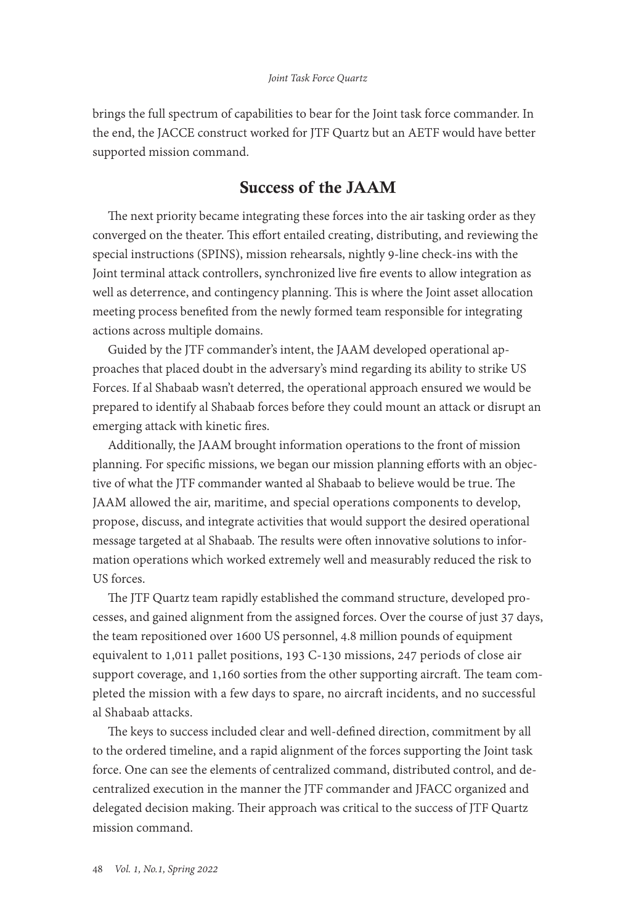brings the full spectrum of capabilities to bear for the Joint task force commander. In the end, the JACCE construct worked for JTF Quartz but an AETF would have better supported mission command.

## Success of the JAAM

The next priority became integrating these forces into the air tasking order as they converged on the theater. This effort entailed creating, distributing, and reviewing the special instructions (SPINS), mission rehearsals, nightly 9-line check-ins with the Joint terminal attack controllers, synchronized live fire events to allow integration as well as deterrence, and contingency planning. This is where the Joint asset allocation meeting process benefited from the newly formed team responsible for integrating actions across multiple domains.

Guided by the JTF commander's intent, the JAAM developed operational approaches that placed doubt in the adversary's mind regarding its ability to strike US Forces. If al Shabaab wasn't deterred, the operational approach ensured we would be prepared to identify al Shabaab forces before they could mount an attack or disrupt an emerging attack with kinetic fires.

Additionally, the JAAM brought information operations to the front of mission planning. For specific missions, we began our mission planning efforts with an objective of what the JTF commander wanted al Shabaab to believe would be true. The JAAM allowed the air, maritime, and special operations components to develop, propose, discuss, and integrate activities that would support the desired operational message targeted at al Shabaab. The results were often innovative solutions to information operations which worked extremely well and measurably reduced the risk to US forces.

The JTF Quartz team rapidly established the command structure, developed processes, and gained alignment from the assigned forces. Over the course of just 37 days, the team repositioned over 1600 US personnel, 4.8 million pounds of equipment equivalent to 1,011 pallet positions, 193 C-130 missions, 247 periods of close air support coverage, and 1,160 sorties from the other supporting aircraft. The team completed the mission with a few days to spare, no aircraft incidents, and no successful al Shabaab attacks.

The keys to success included clear and well-defined direction, commitment by all to the ordered timeline, and a rapid alignment of the forces supporting the Joint task force. One can see the elements of centralized command, distributed control, and decentralized execution in the manner the JTF commander and JFACC organized and delegated decision making. Their approach was critical to the success of JTF Quartz mission command.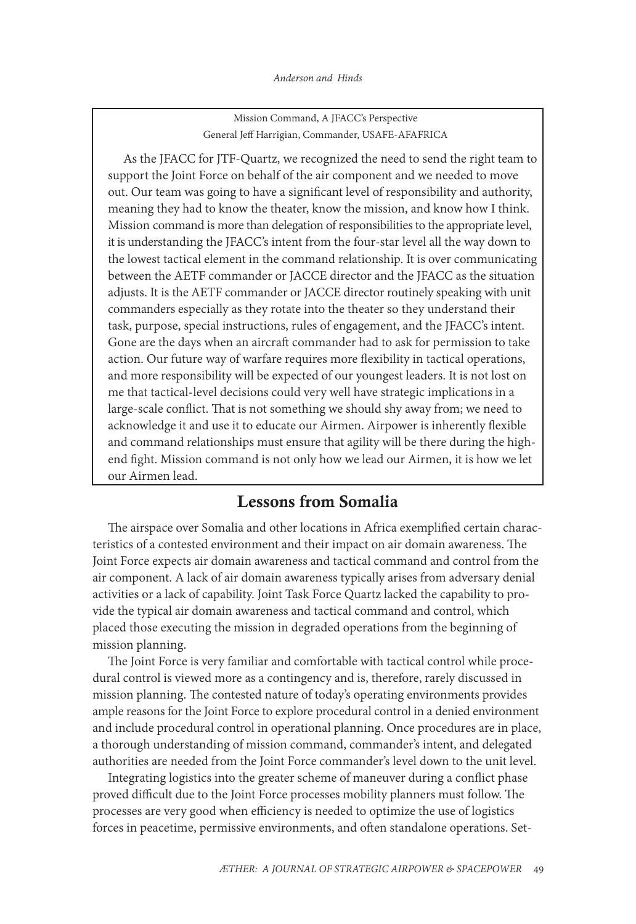Mission Command, A JFACC's Perspective General Jeff Harrigian, Commander, USAFE-AFAFRICA

As the JFACC for JTF-Quartz, we recognized the need to send the right team to support the Joint Force on behalf of the air component and we needed to move out. Our team was going to have a significant level of responsibility and authority, meaning they had to know the theater, know the mission, and know how I think. Mission command is more than delegation of responsibilities to the appropriate level, it is understanding the JFACC's intent from the four-star level all the way down to the lowest tactical element in the command relationship. It is over communicating between the AETF commander or JACCE director and the JFACC as the situation adjusts. It is the AETF commander or JACCE director routinely speaking with unit commanders especially as they rotate into the theater so they understand their task, purpose, special instructions, rules of engagement, and the JFACC's intent. Gone are the days when an aircraft commander had to ask for permission to take action. Our future way of warfare requires more flexibility in tactical operations, and more responsibility will be expected of our youngest leaders. It is not lost on me that tactical-level decisions could very well have strategic implications in a large-scale conflict. That is not something we should shy away from; we need to acknowledge it and use it to educate our Airmen. Airpower is inherently flexible and command relationships must ensure that agility will be there during the highend fight. Mission command is not only how we lead our Airmen, it is how we let our Airmen lead.

### Lessons from Somalia

The airspace over Somalia and other locations in Africa exemplified certain characteristics of a contested environment and their impact on air domain awareness. The Joint Force expects air domain awareness and tactical command and control from the air component. A lack of air domain awareness typically arises from adversary denial activities or a lack of capability. Joint Task Force Quartz lacked the capability to provide the typical air domain awareness and tactical command and control, which placed those executing the mission in degraded operations from the beginning of mission planning.

The Joint Force is very familiar and comfortable with tactical control while procedural control is viewed more as a contingency and is, therefore, rarely discussed in mission planning. The contested nature of today's operating environments provides ample reasons for the Joint Force to explore procedural control in a denied environment and include procedural control in operational planning. Once procedures are in place, a thorough understanding of mission command, commander's intent, and delegated authorities are needed from the Joint Force commander's level down to the unit level.

Integrating logistics into the greater scheme of maneuver during a conflict phase proved difficult due to the Joint Force processes mobility planners must follow. The processes are very good when efficiency is needed to optimize the use of logistics forces in peacetime, permissive environments, and often standalone operations. Set